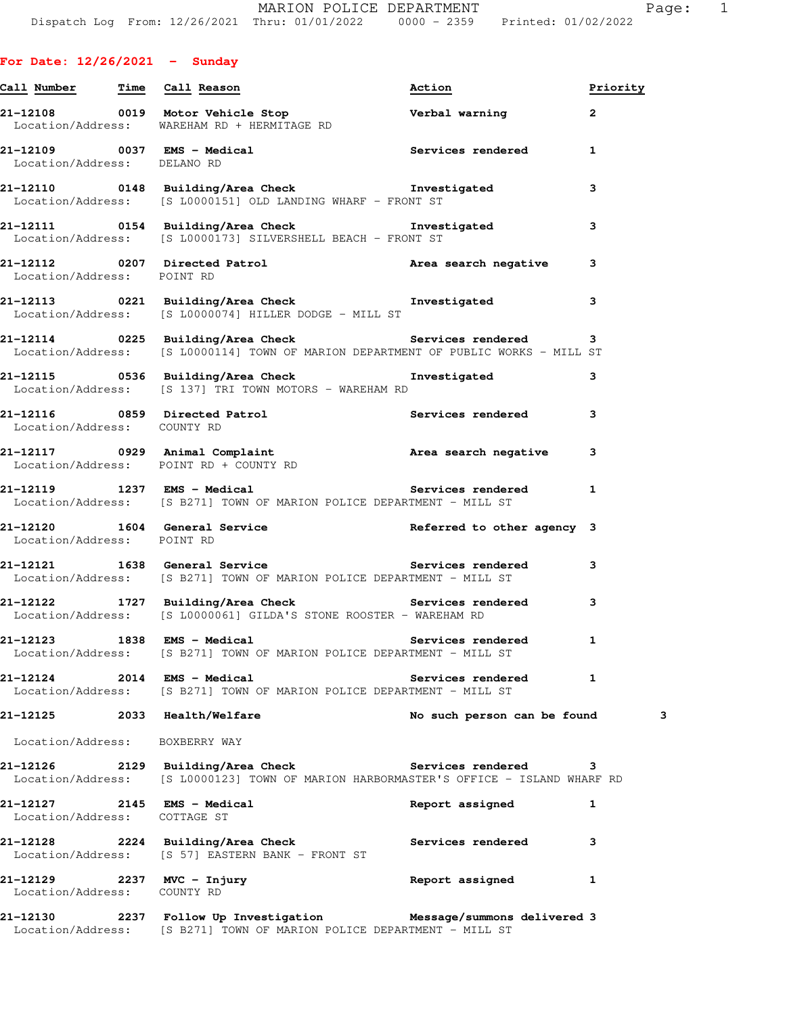**For Date: 12/26/2021 - Sunday**

| Call Number Time Call Reason                                |                                                                                                                                                   | Action                      | Priority     |   |
|-------------------------------------------------------------|---------------------------------------------------------------------------------------------------------------------------------------------------|-----------------------------|--------------|---|
|                                                             | 21-12108 0019 Motor Vehicle Stop <b>1988 Verbal warning</b><br>Location/Address: WAREHAM RD + HERMITAGE RD                                        |                             | $\mathbf{2}$ |   |
| Location/Address: DELANO RD                                 | 21-12109 0037 EMS - Medical the Services rendered 1                                                                                               |                             |              |   |
|                                                             | 21-12110 0148 Building/Area Check the Investigated<br>Location/Address: [S L0000151] OLD LANDING WHARF - FRONT ST                                 |                             | 3            |   |
|                                                             | 21-12111 0154 Building/Area Check the Investigated<br>Location/Address: [S L0000173] SILVERSHELL BEACH - FRONT ST                                 |                             | 3            |   |
| Location/Address: POINT RD                                  | 21-12112 0207 Directed Patrol <b>1988 and A</b> rea search negative                                                                               |                             | 3            |   |
|                                                             | 21-12113 0221 Building/Area Check <b>The Investigated</b><br>Location/Address: [S L0000074] HILLER DODGE - MILL ST                                |                             | 3            |   |
|                                                             | 21-12114 		 0225 Building/Area Check 		 Services rendered 3<br>Location/Address: [S L0000114] TOWN OF MARION DEPARTMENT OF PUBLIC WORKS - MILL ST |                             |              |   |
|                                                             | 21-12115 0536 Building/Area Check <b>The Investigated</b><br>Location/Address: [S 137] TRI TOWN MOTORS - WAREHAM RD                               |                             | 3            |   |
| Location/Address: COUNTY RD                                 | 21-12116 0859 Directed Patrol Services rendered 3<br>Location/Address: COUNTY RD                                                                  |                             |              |   |
|                                                             | 21-12117 1929 Animal Complaint 1992 area search negative<br>Location/Address: POINT RD + COUNTY RD                                                |                             | 3            |   |
|                                                             | 21-12119 1237 EMS - Medical<br>Location/Address: [S B271] TOWN OF MARION POLICE DEPARTMENT - MILL ST                                              | Services rendered           | $\mathbf{1}$ |   |
| Location/Address: POINT RD                                  | 21-12120 1604 General Service Referred to other agency 3                                                                                          |                             |              |   |
|                                                             | 21-12121 1638 General Service the Services rendered<br>Location/Address: [S B271] TOWN OF MARION POLICE DEPARTMENT - MILL ST                      |                             | 3            |   |
|                                                             | 21-12122 1727 Building/Area Check Services rendered 3<br>Location/Address: [S L0000061] GILDA'S STONE ROOSTER - WAREHAM RD                        |                             |              |   |
| 21-12123 1838 EMS - Medical                                 | Location/Address: [S B271] TOWN OF MARION POLICE DEPARTMENT - MILL ST                                                                             | Services rendered 1         |              |   |
|                                                             | Location/Address: [S B271] TOWN OF MARION POLICE DEPARTMENT - MILL ST                                                                             | <b>Services rendered</b>    | 1            |   |
| 21-12125 2033 Health/Welfare                                |                                                                                                                                                   | No such person can be found |              | з |
| Location/Address: BOXBERRY WAY                              |                                                                                                                                                   |                             |              |   |
|                                                             | 21-12126 2129 Building/Area Check Services rendered<br>Location/Address: [S L0000123] TOWN OF MARION HARBORMASTER'S OFFICE - ISLAND WHARF RD      |                             | 3            |   |
| 21-12127 2145 EMS - Medical<br>Location/Address: COTTAGE ST |                                                                                                                                                   | Report assigned             | 1            |   |
|                                                             | 21-12128 2224 Building/Area Check Services rendered<br>Location/Address: [S 57] EASTERN BANK - FRONT ST                                           |                             | 3            |   |
| 21-12129 2237 MVC - Injury<br>Location/Address: COUNTY RD   |                                                                                                                                                   | Report assigned             | 1            |   |

**21-12130 2237 Follow Up Investigation Message/summons delivered 3**  Location/Address: [S B271] TOWN OF MARION POLICE DEPARTMENT - MILL ST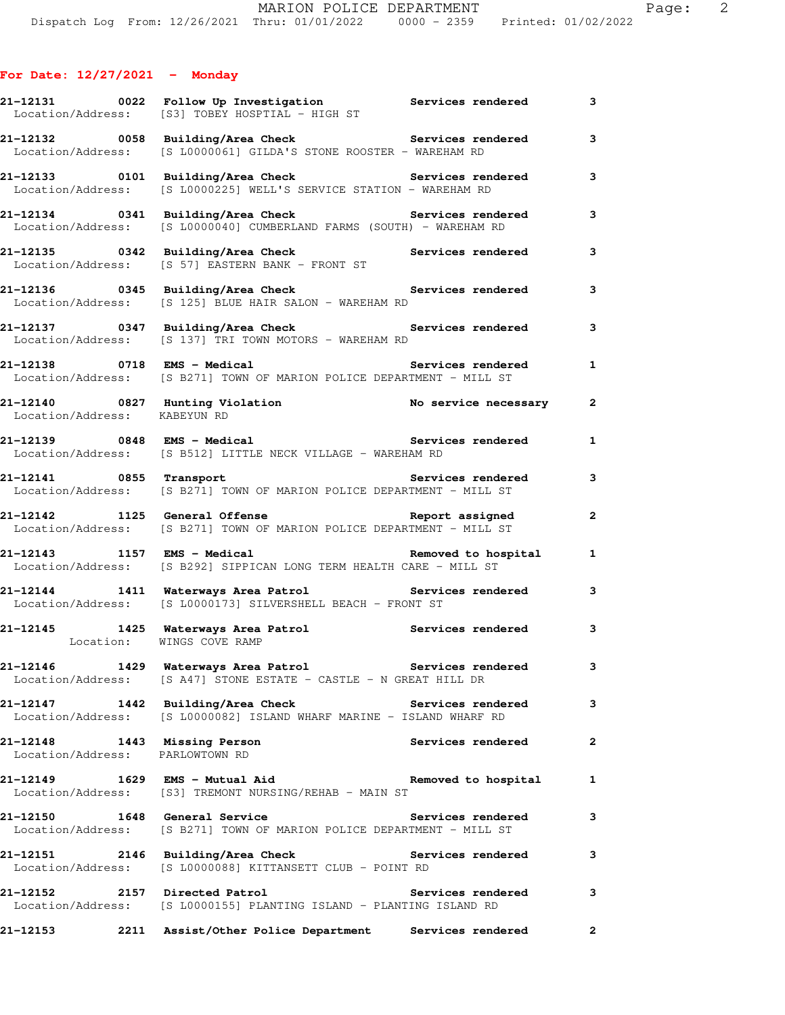|                                                                 | 21-12131 0022 Follow Up Investigation Services rendered<br>Location/Address: [S3] TOBEY HOSPTIAL - HIGH ST                                       |                          | 3            |
|-----------------------------------------------------------------|--------------------------------------------------------------------------------------------------------------------------------------------------|--------------------------|--------------|
|                                                                 | 21-12132 0058 Building/Area Check 5 Services rendered 3<br>Location/Address: [S L0000061] GILDA'S STONE ROOSTER - WAREHAM RD                     |                          |              |
|                                                                 | 21-12133      0101  Building/Area Check          Services rendered<br>Location/Address: [S L0000225] WELL'S SERVICE STATION - WAREHAM RD         |                          | 3            |
|                                                                 | 21-12134 0341 Building/Area Check Services rendered<br>Location/Address: [S L0000040] CUMBERLAND FARMS (SOUTH) - WAREHAM RD                      |                          | $\mathbf{3}$ |
|                                                                 | 21-12135 0342 Building/Area Check Services rendered<br>Location/Address: [S 57] EASTERN BANK - FRONT ST                                          |                          | 3            |
|                                                                 | 21-12136      0345  Building/Area Check          Services rendered<br>Location/Address: [S 125] BLUE HAIR SALON - WAREHAM RD                     |                          | 3            |
|                                                                 | 21-12137 0347 Building/Area Check Services rendered<br>Location/Address: [S 137] TRI TOWN MOTORS - WAREHAM RD                                    |                          | 3            |
| 21-12138 0718 EMS - Medical                                     | Location/Address: [S B271] TOWN OF MARION POLICE DEPARTMENT - MILL ST                                                                            | Services rendered 1      |              |
| Location/Address: KABEYUN RD                                    | 21-12140 0827 Hunting Violation No service necessary 2                                                                                           |                          |              |
|                                                                 | 21-12139      0848  EMS - Medical              Services rendered<br>Location/Address: [S B512] LITTLE NECK VILLAGE - WAREHAM RD                  |                          | $\mathbf{1}$ |
|                                                                 | 21-12141 0855 Transport the Services rendered<br>Location/Address: [S B271] TOWN OF MARION POLICE DEPARTMENT - MILL ST                           |                          | 3            |
|                                                                 | Location/Address: [S B271] TOWN OF MARION POLICE DEPARTMENT - MILL ST                                                                            |                          | $\mathbf{2}$ |
|                                                                 | 21-12143 1157 EMS - Medical the contract of the Removed to hospital the 1<br>Location/Address: [S B292] SIPPICAN LONG TERM HEALTH CARE - MILL ST |                          |              |
|                                                                 | 21-12144 1411 Waterways Area Patrol Services rendered<br>Location/Address: [S L0000173] SILVERSHELL BEACH - FRONT ST                             |                          | 3            |
| Location: WINGS COVE RAMP                                       | 21-12145 1425 Waterways Area Patrol Services rendered                                                                                            |                          | $\mathbf{3}$ |
|                                                                 | 21-12146 1429 Waterways Area Patrol Services rendered<br>Location/Address: [S A47] STONE ESTATE - CASTLE - N GREAT HILL DR                       |                          | 3            |
|                                                                 | 21-12147 1442 Building/Area Check Services rendered<br>Location/Address: [S L0000082] ISLAND WHARF MARINE - ISLAND WHARF RD                      |                          | 3            |
| 21-12148 1443 Missing Person<br>Location/Address: PARLOWTOWN RD |                                                                                                                                                  | <b>Services rendered</b> | $\mathbf{2}$ |
|                                                                 | Location/Address: [S3] TREMONT NURSING/REHAB - MAIN ST                                                                                           | Removed to hospital      | $\mathbf{1}$ |
| 21-12150 1648 General Service                                   | Location/Address: [S B271] TOWN OF MARION POLICE DEPARTMENT - MILL ST                                                                            | <b>Services rendered</b> | 3            |
| Location/Address:                                               | 21-12151 2146 Building/Area Check Services rendered<br>[S L0000088] KITTANSETT CLUB - POINT RD                                                   |                          | 3            |
| 21-12152 2157 Directed Patrol                                   | Location/Address: [S L0000155] PLANTING ISLAND - PLANTING ISLAND RD                                                                              | <b>Services rendered</b> | 3            |
| 21–12153                                                        | 2211 Assist/Other Police Department Services rendered                                                                                            |                          | $\mathbf{2}$ |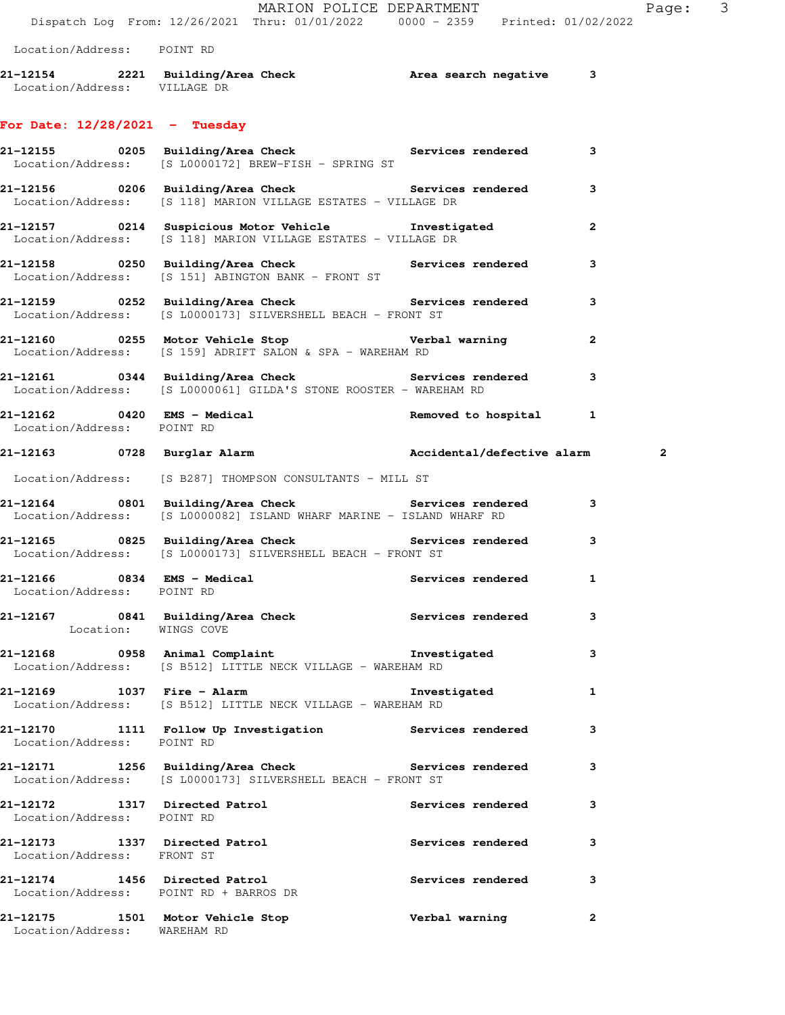MARION POLICE DEPARTMENT Fage: 3 Dispatch Log From: 12/26/2021 Thru: 01/01/2022 0000 - 2359 Printed: 01/02/2022 Location/Address: POINT RD **21-12154 2221 Building/Area Check Area search negative 3**  Location/Address: VILLAGE DR **For Date: 12/28/2021 - Tuesday 21-12155 0205 Building/Area Check Services rendered 3**  Location/Address: [S L0000172] BREW-FISH - SPRING ST **21-12156 0206 Building/Area Check Services rendered 3**  Location/Address: [S 118] MARION VILLAGE ESTATES - VILLAGE DR **21-12157 0214 Suspicious Motor Vehicle Investigated 2**  Location/Address: [S 118] MARION VILLAGE ESTATES - VILLAGE DR **21-12158 0250 Building/Area Check Services rendered 3**  Location/Address: [S 151] ABINGTON BANK - FRONT ST **21-12159 0252 Building/Area Check Services rendered 3**  Location/Address: [S L0000173] SILVERSHELL BEACH - FRONT ST **21-12160 0255 Motor Vehicle Stop Verbal warning 2**  Location/Address: [S 159] ADRIFT SALON & SPA - WAREHAM RD **21-12161 0344 Building/Area Check Services rendered 3**  Location/Address: [S L0000061] GILDA'S STONE ROOSTER - WAREHAM RD **21-12162 0420 EMS - Medical Removed to hospital 1**  Location/Address: POINT RD **21-12163 0728 Burglar Alarm Accidental/defective alarm 2** Location/Address: [S B287] THOMPSON CONSULTANTS - MILL ST **21-12164 0801 Building/Area Check Services rendered 3**  Location/Address: [S L0000082] ISLAND WHARF MARINE - ISLAND WHARF RD **21-12165 0825 Building/Area Check Services rendered 3**  Location/Address: [S L0000173] SILVERSHELL BEACH - FRONT ST **21-12166 0834 EMS - Medical Services rendered 1**  Location/Address: POINT RD **21-12167 0841 Building/Area Check Services rendered 3**  Location: WINGS COVE **21-12168 0958 Animal Complaint Investigated 3**  Location/Address: [S B512] LITTLE NECK VILLAGE - WAREHAM RD **21-12169 1037 Fire - Alarm Investigated 1**  Location/Address: [S B512] LITTLE NECK VILLAGE - WAREHAM RD **21-12170 1111 Follow Up Investigation Services rendered 3**  Location/Address: POINT RD **21-12171 1256 Building/Area Check Services rendered 3**  Location/Address: [S L0000173] SILVERSHELL BEACH - FRONT ST **21-12172 1317 Directed Patrol Services rendered 3**  Location/Address: POINT RD **21-12173 1337 Directed Patrol Services rendered 3**  Location/Address: FRONT ST **21-12174 1456 Directed Patrol Services rendered 3**  Location/Address: POINT RD + BARROS DR

**21-12175 1501 Motor Vehicle Stop Verbal warning 2**  Location/Address: WAREHAM RD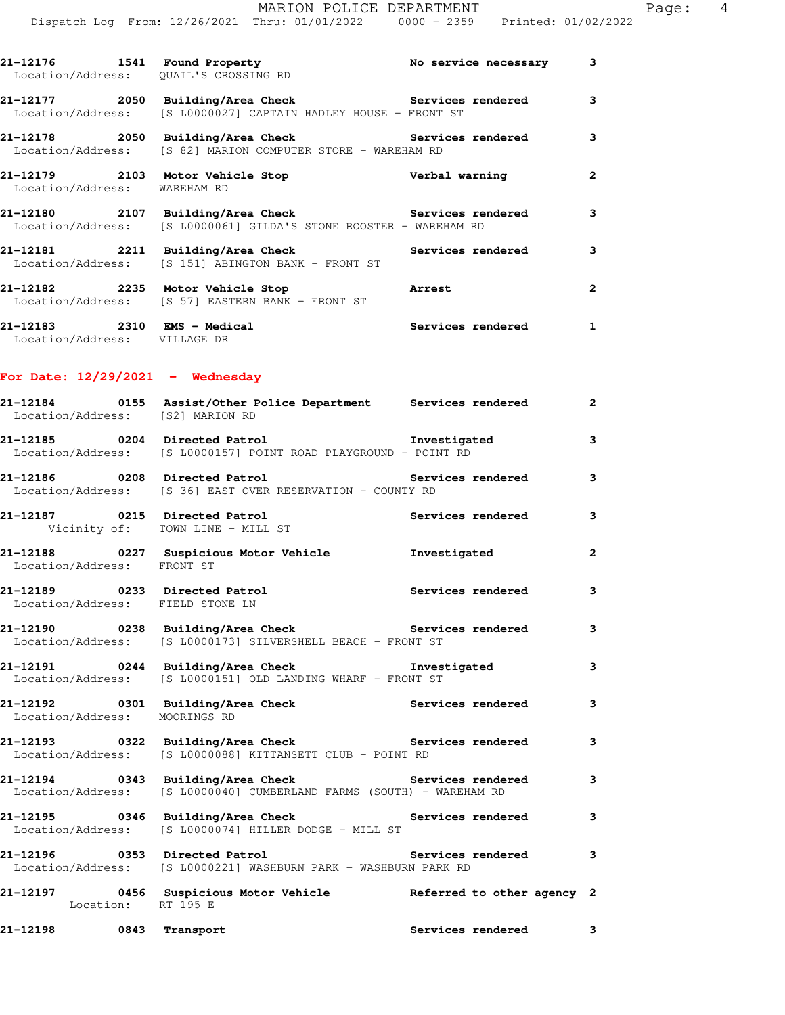|                                                                   | 21-12176   1541   Found Property   No service necessary   3<br>Location/Address: QUAIL'S CROSSING RD                       |                   |                |
|-------------------------------------------------------------------|----------------------------------------------------------------------------------------------------------------------------|-------------------|----------------|
|                                                                   | 21-12177 2050 Building/Area Check Services rendered<br>Location/Address: [S L0000027] CAPTAIN HADLEY HOUSE - FRONT ST      |                   | 3              |
|                                                                   | 21-12178 2050 Building/Area Check Services rendered<br>Location/Address: [S 82] MARION COMPUTER STORE - WAREHAM RD         |                   | $\mathbf{3}$   |
| Location/Address: WAREHAM RD                                      |                                                                                                                            |                   | $\overline{2}$ |
|                                                                   | 21-12180 2107 Building/Area Check Services rendered 3<br>Location/Address: [S L0000061] GILDA'S STONE ROOSTER - WAREHAM RD |                   |                |
|                                                                   | 21-12181 2211 Building/Area Check Services rendered<br>Location/Address: [S 151] ABINGTON BANK - FRONT ST                  |                   | 3              |
|                                                                   | 21-12182 2235 Motor Vehicle Stop<br>Location/Address: [S 57] EASTERN BANK - FRONT ST                                       | Arrest            | $\mathbf{2}$   |
| Location/Address: VILLAGE DR                                      | 21-12183 2310 EMS - Medical and Services rendered 1                                                                        |                   |                |
| For Date: $12/29/2021$ - Wednesday                                |                                                                                                                            |                   |                |
|                                                                   | 21-12184 0155 Assist/Other Police Department Services rendered 2<br>Location/Address: [S2] MARION RD                       |                   |                |
|                                                                   | Location/Address: [S L0000157] POINT ROAD PLAYGROUND - POINT RD                                                            |                   | 3              |
|                                                                   | Location/Address: [S 36] EAST OVER RESERVATION - COUNTY RD                                                                 |                   | 3              |
|                                                                   | 21-12187 0215 Directed Patrol <b>Services</b> rendered<br>Vicinity of: TOWN LINE - MILL ST                                 |                   | 3              |
| Location/Address: FRONT ST                                        | 21-12188 0227 Suspicious Motor Vehicle threstigated                                                                        |                   | $\overline{a}$ |
| 21-12189 0233 Directed Patrol<br>Location/Address: FIELD STONE LN |                                                                                                                            | Services rendered | -3             |

**21-12190 0238 Building/Area Check Services rendered 3**  Location/Address: [S L0000173] SILVERSHELL BEACH - FRONT ST

**21-12191 0244 Building/Area Check Investigated 3**  Location/Address: [S L0000151] OLD LANDING WHARF - FRONT ST

**21-12192 0301 Building/Area Check Services rendered 3**  Location/Address: MOORINGS RD

**21-12193 0322 Building/Area Check Services rendered 3**  Location/Address: [S L0000088] KITTANSETT CLUB - POINT RD

**21-12194 0343 Building/Area Check Services rendered 3**  Location/Address: [S L0000040] CUMBERLAND FARMS (SOUTH) - WAREHAM RD

**21-12195 0346 Building/Area Check Services rendered 3**  Location/Address: [S L0000074] HILLER DODGE - MILL ST

**21-12196 0353 Directed Patrol Services rendered 3**  Location/Address: [S L0000221] WASHBURN PARK - WASHBURN PARK RD

**21-12197 0456 Suspicious Motor Vehicle Referred to other agency 2**  Location: RT 195 E

**21-12198 0843 Transport Services rendered 3**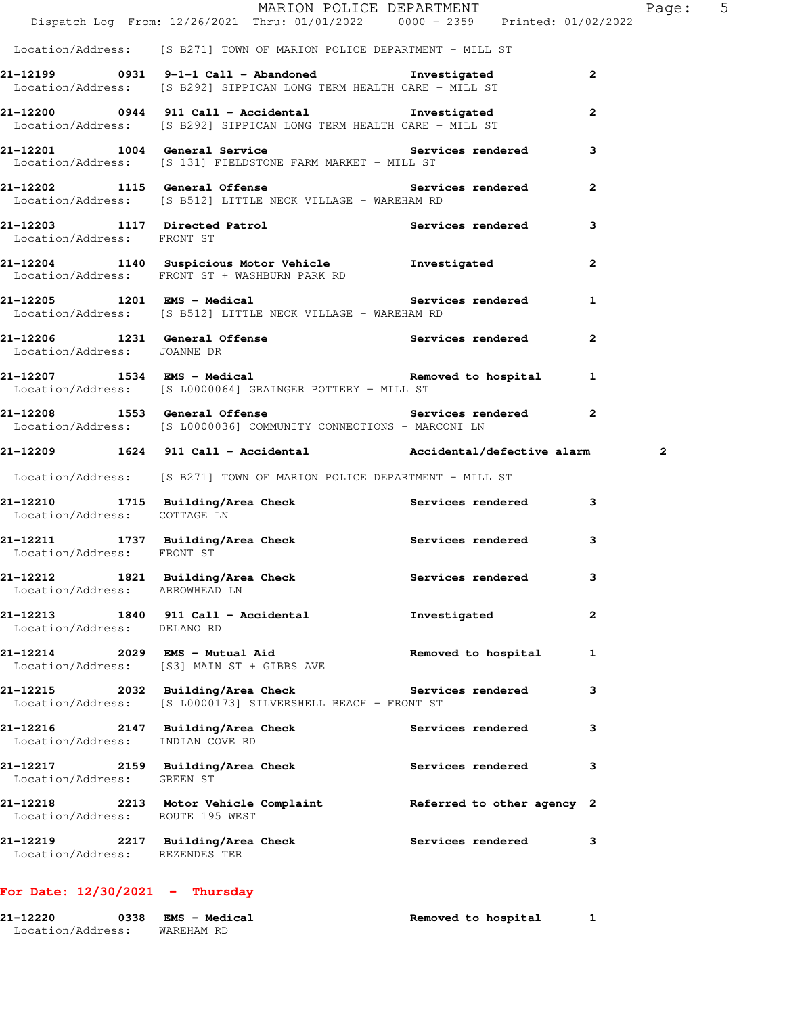|                                            | MARION POLICE DEPARTMENT                                                                                                    |                          | $5\overline{)}$<br>Page: |
|--------------------------------------------|-----------------------------------------------------------------------------------------------------------------------------|--------------------------|--------------------------|
|                                            | Dispatch Log From: 12/26/2021 Thru: 01/01/2022 0000 - 2359 Printed: 01/02/2022                                              |                          |                          |
|                                            | Location/Address: [S B271] TOWN OF MARION POLICE DEPARTMENT - MILL ST                                                       |                          |                          |
|                                            | 21-12199 0931 9-1-1 Call - Abandoned Investigated<br>Location/Address: [S B292] SIPPICAN LONG TERM HEALTH CARE - MILL ST    |                          | $\mathbf{2}$             |
|                                            | 21-12200 0944 911 Call - Accidental Monarchigated<br>Location/Address: [S B292] SIPPICAN LONG TERM HEALTH CARE - MILL ST    |                          | $\mathbf{2}$             |
|                                            | 21-12201 1004 General Service 21-12201 1004 Services rendered<br>Location/Address: [S 131] FIELDSTONE FARM MARKET - MILL ST |                          |                          |
|                                            | 21-12202 1115 General Offense and Services rendered<br>Location/Address: [S B512] LITTLE NECK VILLAGE - WAREHAM RD          |                          | $\mathbf{2}$             |
| Location/Address: FRONT ST                 | 21-12203 1117 Directed Patrol 21 Services rendered                                                                          |                          | 3                        |
|                                            | 21-12204 1140 Suspicious Motor Vehicle 1nvestigated<br>Location/Address: FRONT ST + WASHBURN PARK RD                        |                          | $\mathbf{2}$             |
|                                            | 21-12205 1201 EMS - Medical 1 Services rendered 1<br>Location/Address: [S B512] LITTLE NECK VILLAGE - WAREHAM RD            |                          |                          |
|                                            | 21-12206 1231 General Offense Services rendered<br>Location/Address: JOANNE DR                                              |                          | $\mathbf{2}$             |
|                                            | Location/Address: [S L0000064] GRAINGER POTTERY - MILL ST                                                                   |                          |                          |
|                                            | 21-12208 1553 General Offense 1988 Services rendered 2<br>Location/Address: [S L0000036] COMMUNITY CONNECTIONS - MARCONI LN |                          |                          |
|                                            | 21-12209 1624 911 Call - Accidental Maccidental/defective alarm                                                             |                          | 2                        |
|                                            | Location/Address: [S B271] TOWN OF MARION POLICE DEPARTMENT - MILL ST                                                       |                          |                          |
| Location/Address: COTTAGE LN               | 21-12210 1715 Building/Area Check Services rendered                                                                         |                          | 3                        |
| Location/Address: FRONT ST                 | 21-12211 1737 Building/Area Check Services rendered                                                                         |                          | 3                        |
| 21-12212<br>Location/Address: ARROWHEAD LN | 1821 Building/Area Check                                                                                                    | Services rendered        | 3                        |
| Location/Address: DELANO RD                | 21-12213 1840 911 Call - Accidental                                                                                         | Investigated             | $\mathbf{2}$             |
|                                            | 21-12214 2029 EMS - Mutual Aid<br>Location/Address: [S3] MAIN ST + GIBBS AVE                                                | Removed to hospital      | 1                        |
|                                            | 21-12215 2032 Building/Area Check<br>Location/Address: [S L0000173] SILVERSHELL BEACH - FRONT ST                            | <b>Services rendered</b> | 3                        |
| Location/Address: INDIAN COVE RD           | 21-12216 2147 Building/Area Check                                                                                           | <b>Services rendered</b> | 3                        |
| Location/Address: GREEN ST                 | 21-12217 2159 Building/Area Check                                                                                           | Services rendered        | 3                        |
| Location/Address: ROUTE 195 WEST           | 21-12218 2213 Motor Vehicle Complaint Referred to other agency 2                                                            |                          |                          |
| Location/Address: REZENDES TER             | 21-12219 2217 Building/Area Check                                                                                           | <b>Services rendered</b> | 3                        |
|                                            |                                                                                                                             |                          |                          |

## **For Date: 12/30/2021 - Thursday**

| 21-12220          | 0338 | <b>EMS - Medical</b> | Removed to hospital |  |
|-------------------|------|----------------------|---------------------|--|
| Location/Address: |      | WAREHAM RD           |                     |  |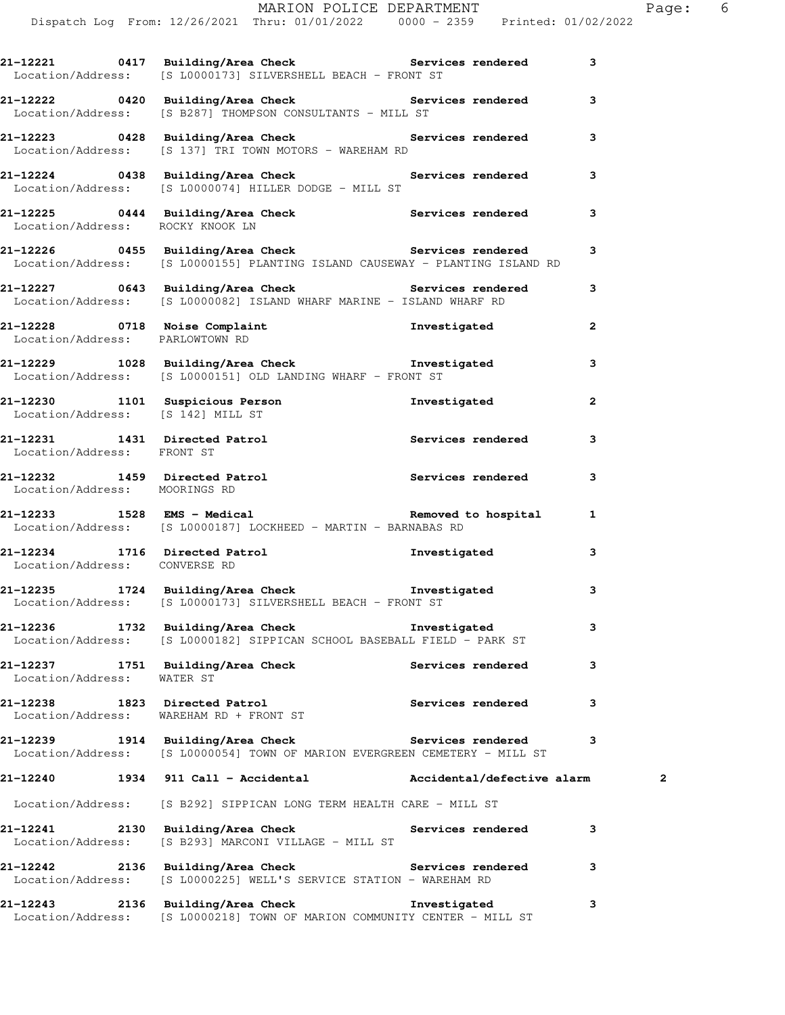|                                   | Dispatch Log From: 12/26/2021 Thru: 01/01/2022   0000 - 2359   Printed: 01/02/2022                                                                 |                            |                |
|-----------------------------------|----------------------------------------------------------------------------------------------------------------------------------------------------|----------------------------|----------------|
|                                   | 21-12221 0417 Building/Area Check 5 Services rendered 3<br>Location/Address: [S L0000173] SILVERSHELL BEACH - FRONT ST                             |                            |                |
|                                   | 21-12222 0420 Building/Area Check Services rendered<br>Location/Address: [S B287] THOMPSON CONSULTANTS - MILL ST                                   |                            | 3              |
|                                   | 21-12223 0428 Building/Area Check Services rendered 3<br>Location/Address: [S 137] TRI TOWN MOTORS - WAREHAM RD                                    |                            |                |
|                                   | 21-12224 0438 Building/Area Check Services rendered<br>Location/Address: [S L0000074] HILLER DODGE - MILL ST                                       |                            | 3              |
|                                   | 21-12225 0444 Building/Area Check Services rendered 3<br>Location/Address: ROCKY KNOOK LN                                                          |                            |                |
|                                   | 21-12226      0455  Building/Area Check          Services rendered<br>Location/Address: [S L0000155] PLANTING ISLAND CAUSEWAY - PLANTING ISLAND RD |                            | 3              |
|                                   | 21-12227 0643 Building/Area Check Services rendered<br>Location/Address: [S L0000082] ISLAND WHARF MARINE - ISLAND WHARF RD                        |                            | 3              |
| Location/Address: PARLOWTOWN RD   | 21-12228 0718 Noise Complaint <b>120 Investigated</b>                                                                                              |                            | $\mathbf{2}$   |
|                                   | 21-12229 1028 Building/Area Check <b>The Investigated</b><br>Location/Address: [S L0000151] OLD LANDING WHARF - FRONT ST                           |                            | 3              |
| Location/Address: [S 142] MILL ST | 21-12230 1101 Suspicious Person <b>Investigated</b><br>Location/Address: IS 1421 MILL ST                                                           |                            | $\overline{2}$ |
| Location/Address: FRONT ST        | 21-12231 1431 Directed Patrol Nervices rendered                                                                                                    |                            | 3              |
| Location/Address: MOORINGS RD     | 21-12232 1459 Directed Patrol Services rendered                                                                                                    |                            | 3              |
|                                   | Location/Address: [S L0000187] LOCKHEED - MARTIN - BARNABAS RD                                                                                     |                            | 1              |
| Location/Address: CONVERSE RD     | 21-12234 1716 Directed Patrol                                                                                                                      | Investigated               | 3              |
|                                   | 21-12235 1724 Building/Area Check <b>The Investigated</b><br>Location/Address: [S L0000173] SILVERSHELL BEACH - FRONT ST                           |                            | 3              |
|                                   | 21-12236 1732 Building/Area Check the Investigated<br>Location/Address: [S L0000182] SIPPICAN SCHOOL BASEBALL FIELD - PARK ST                      |                            | 3              |
| Location/Address: WATER ST        | 21-12237 1751 Building/Area Check                                                                                                                  | <b>Services rendered</b>   | 3              |
|                                   | 21-12238 1823 Directed Patrol<br>Location/Address: WAREHAM RD + FRONT ST                                                                           | <b>Services rendered</b>   | 3              |
|                                   | 21-12239 1914 Building/Area Check Services rendered<br>Location/Address: [S L0000054] TOWN OF MARION EVERGREEN CEMETERY - MILL ST                  |                            | 3              |
|                                   |                                                                                                                                                    | Accidental/defective alarm | 2              |
|                                   | Location/Address: [S B292] SIPPICAN LONG TERM HEALTH CARE - MILL ST                                                                                |                            |                |
|                                   | 21-12241 2130 Building/Area Check Services rendered<br>Location/Address: [S B293] MARCONI VILLAGE - MILL ST                                        |                            | 3              |
|                                   | 21-12242 2136 Building/Area Check Services rendered<br>Location/Address: [S L0000225] WELL'S SERVICE STATION - WAREHAM RD                          |                            | 3              |

**21-12243 2136 Building/Area Check Investigated 3**  Location/Address: [S L0000218] TOWN OF MARION COMMUNITY CENTER - MILL ST

MARION POLICE DEPARTMENT Fage: 6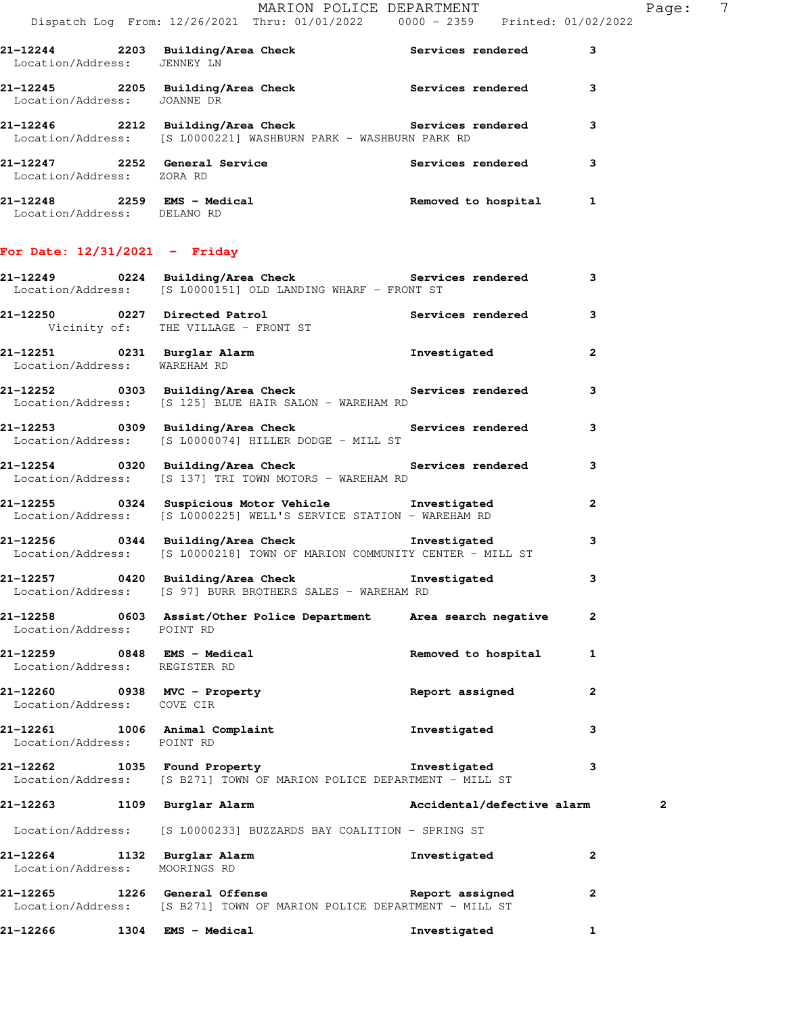|                                 | MARION POLICE DEPARTMENT<br>Dispatch Log From: 12/26/2021 Thru: 01/01/2022 0000 - 2359 Printed: 01/02/2022                     |                     |                | Page: 7 |  |
|---------------------------------|--------------------------------------------------------------------------------------------------------------------------------|---------------------|----------------|---------|--|
| Location/Address: JENNEY LN     | 21-12244 2203 Building/Area Check Services rendered 3                                                                          |                     |                |         |  |
|                                 | 21-12245 2205 Building/Area Check Services rendered 3<br>Location/Address: JOANNE DR                                           |                     |                |         |  |
|                                 | 21-12246 2212 Building/Area Check Services rendered<br>Location/Address: [S L0000221] WASHBURN PARK - WASHBURN PARK RD         |                     | 3              |         |  |
| Location/Address: ZORA RD       | 21-12247 2252 General Service                                                                                                  | Services rendered 3 |                |         |  |
| Location/Address: DELANO RD     | 21-12248 2259 EMS - Medical Removed to hospital 1                                                                              |                     |                |         |  |
| For Date: $12/31/2021$ - Friday |                                                                                                                                |                     |                |         |  |
|                                 | 21-12249 0224 Building/Area Check Services rendered 3<br>Location/Address: [S L0000151] OLD LANDING WHARF - FRONT ST           |                     |                |         |  |
|                                 | 21-12250 0227 Directed Patrol<br>Vicinity of: THE VILLAGE - FRONT ST                                                           | Services rendered 3 |                |         |  |
| Location/Address: WAREHAM RD    | 21-12251 0231 Burglar Alarm<br>Location/Address: WAREHAM RD                                                                    | Investigated        | $\overline{2}$ |         |  |
|                                 | 21-12252 0303 Building/Area Check Services rendered<br>Location/Address: [S 125] BLUE HAIR SALON - WAREHAM RD                  |                     | 3              |         |  |
|                                 | 21-12253 0309 Building/Area Check <b>Services</b> rendered<br>Location/Address: [S L0000074] HILLER DODGE - MILL ST            |                     | 3              |         |  |
|                                 | 21-12254 0320 Building/Area Check <b>Services</b> rendered<br>Location/Address: [S 137] TRI TOWN MOTORS - WAREHAM RD           |                     | 3              |         |  |
|                                 | 21-12255 0324 Suspicious Motor Vehicle Investigated<br>Location/Address: [S L0000225] WELL'S SERVICE STATION - WAREHAM RD      |                     | $\mathbf{2}$   |         |  |
|                                 | 21-12256 0344 Building/Area Check the Investigated<br>Location/Address: [S L0000218] TOWN OF MARION COMMUNITY CENTER - MILL ST |                     | 3              |         |  |
|                                 | 21-12257 0420 Building/Area Check <b>The Investigated</b><br>Location/Address: [S 97] BURR BROTHERS SALES - WAREHAM RD         |                     | 3              |         |  |
| Location/Address: POINT RD      | 21-12258 0603 Assist/Other Police Department Area search negative 2                                                            |                     |                |         |  |

**21-12259 0848 EMS - Medical Removed to hospital 1**  Location/Address: REGISTER RD **21-12260 0938 MVC - Property Report assigned 2**  Location/Address: COVE CIR

**21-12261 1006 Animal Complaint Investigated 3**  Location/Address: POINT RD **21-12262 1035 Found Property Investigated 3** 

## Location/Address: [S B271] TOWN OF MARION POLICE DEPARTMENT - MILL ST

## **21-12263 1109 Burglar Alarm Accidental/defective alarm 2**

Location/Address: [S L0000233] BUZZARDS BAY COALITION - SPRING ST

| 21-12264<br>Location/Address: | 1132 | Burglar Alarm<br>MOORINGS RD |  |                                                     | Investigated    |              |
|-------------------------------|------|------------------------------|--|-----------------------------------------------------|-----------------|--------------|
| 21-12265<br>Location/Address: | 1226 | General Offense              |  | [S B271] TOWN OF MARION POLICE DEPARTMENT - MILL ST | Report assigned | $\mathbf{2}$ |

**21-12266 1304 EMS - Medical Investigated 1**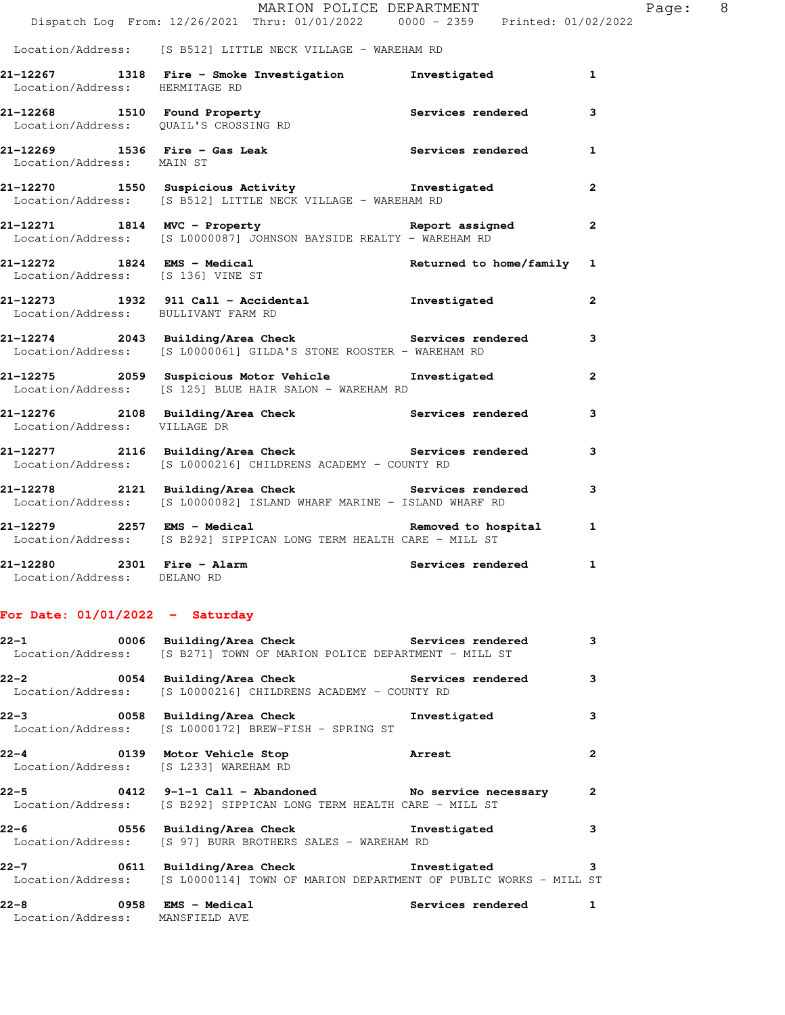|                                                           | MARION POLICE DEPARTMENT<br>Dispatch Log From: 12/26/2021 Thru: 01/01/2022 0000 - 2359 Printed: 01/02/2022                              |                   | Page: 8        |
|-----------------------------------------------------------|-----------------------------------------------------------------------------------------------------------------------------------------|-------------------|----------------|
|                                                           | Location/Address: [S B512] LITTLE NECK VILLAGE - WAREHAM RD                                                                             |                   |                |
| Location/Address: HERMITAGE RD                            | 21-12267 1318 Fire - Smoke Investigation 1 Investigated 1                                                                               |                   |                |
|                                                           | 21-12268 1510 Found Property<br>Location/Address: QUAIL'S CROSSING RD                                                                   |                   | 3              |
| Location/Address: MAIN ST                                 | 21-12269 1536 Fire - Gas Leak 1 Services rendered 1                                                                                     |                   |                |
|                                                           | 21-12270 1550 Suspicious Activity Investigated<br>Location/Address: [S B512] LITTLE NECK VILLAGE - WAREHAM RD                           |                   | $\overline{2}$ |
|                                                           | 21-12271 1814 MVC - Property <b>1814 COVERENT Report assigned</b><br>Location/Address: [S L0000087] JOHNSON BAYSIDE REALTY - WAREHAM RD |                   | $\mathbf{2}$   |
|                                                           | 21-12272 1824 EMS - Medical Returned to home/family 1<br>Location/Address: [S 136] VINE ST                                              |                   |                |
| Location/Address: BULLIVANT FARM RD                       | 21-12273 1932 911 Call - Accidental Montanguer investigated                                                                             |                   | $\overline{2}$ |
|                                                           | 21-12274 2043 Building/Area Check Services rendered 3<br>Location/Address: [S L0000061] GILDA'S STONE ROOSTER - WAREHAM RD              |                   |                |
|                                                           | 21-12275  2059  Suspicious Motor Vehicle  Investigated<br>Location/Address: [S 125] BLUE HAIR SALON - WAREHAM RD                        |                   | $\overline{2}$ |
| Location/Address: VILLAGE DR                              | 21-12276 2108 Building/Area Check 21 Services rendered                                                                                  |                   | 3              |
|                                                           | 21-12277 2116 Building/Area Check Services rendered 3<br>Location/Address: [S L0000216] CHILDRENS ACADEMY - COUNTY RD                   |                   |                |
|                                                           | 21-12278 2121 Building/Area Check Services rendered<br>Location/Address: [S L0000082] ISLAND WHARF MARINE - ISLAND WHARF RD             |                   | 3              |
|                                                           | 21-12279 2257 EMS - Medical 2008 Removed to hospital 21<br>Location/Address: [S B292] SIPPICAN LONG TERM HEALTH CARE - MILL ST          |                   |                |
| 21-12280 2301 Fire - Alarm<br>Location/Address: DELANO RD |                                                                                                                                         | Services rendered | $\mathbf{1}$   |

## **For Date: 01/01/2022 - Saturday**

|                                       | 22-1 0006 Building/Area Check Services rendered 3<br>Location/Address: [S B271] TOWN OF MARION POLICE DEPARTMENT - MILL ST                |                         |
|---------------------------------------|-------------------------------------------------------------------------------------------------------------------------------------------|-------------------------|
|                                       | 22-2 0054 Building/Area Check Services rendered<br>Location/Address: [S L0000216] CHILDRENS ACADEMY - COUNTY RD                           | $\overline{\mathbf{3}}$ |
|                                       | 22-3 0058 Building/Area Check <b>1</b> nvestigated<br>Location/Address: [S L0000172] BREW-FISH - SPRING ST                                | $\overline{\mathbf{3}}$ |
| Location/Address: [S L233] WAREHAM RD | 22-4 0139 Motor Vehicle Stop Narrest                                                                                                      | $\overline{2}$          |
|                                       | 22-5 0412 9-1-1 Call - Abandoned No service necessary 2<br>Location/Address: [S B292] SIPPICAN LONG TERM HEALTH CARE - MILL ST            |                         |
|                                       | 22-6 556 Building/Area Check 5 Investigated 3<br>Location/Address: [S 97] BURR BROTHERS SALES - WAREHAM RD                                |                         |
|                                       | 22-7 0611 Building/Area Check <b>Investigated</b> 3<br>Location/Address: [S L0000114] TOWN OF MARION DEPARTMENT OF PUBLIC WORKS - MILL ST |                         |
| Location/Address: MANSFIELD AVE       | 22-8 		 0958 EMS - Medical 		 Services rendered 1                                                                                         |                         |